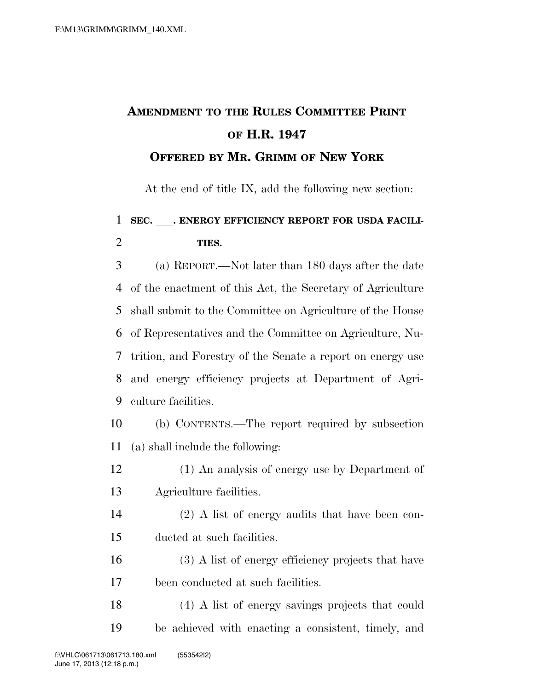## **AMENDMENT TO THE RULES COMMITTEE PRINT OF H.R. 1947 OFFERED BY MR. GRIMM OF NEW YORK**

At the end of title IX, add the following new section:

## 1 SEC. FINERGY EFFICIENCY REPORT FOR USDA FACILI-**TIES.**

 (a) REPORT.—Not later than 180 days after the date of the enactment of this Act, the Secretary of Agriculture shall submit to the Committee on Agriculture of the House of Representatives and the Committee on Agriculture, Nu- trition, and Forestry of the Senate a report on energy use and energy efficiency projects at Department of Agri-culture facilities.

- (b) CONTENTS.—The report required by subsection (a) shall include the following:
- (1) An analysis of energy use by Department of Agriculture facilities.
- (2) A list of energy audits that have been con-ducted at such facilities.
- (3) A list of energy efficiency projects that have been conducted at such facilities.
- (4) A list of energy savings projects that could be achieved with enacting a consistent, timely, and